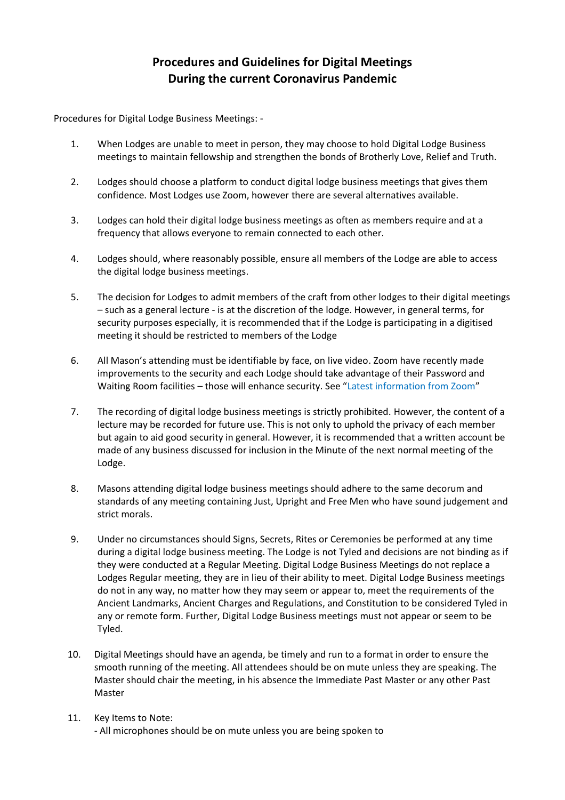## **Procedures and Guidelines for Digital Meetings During the current Coronavirus Pandemic**

Procedures for Digital Lodge Business Meetings: -

- 1. When Lodges are unable to meet in person, they may choose to hold Digital Lodge Business meetings to maintain fellowship and strengthen the bonds of Brotherly Love, Relief and Truth.
- 2. Lodges should choose a platform to conduct digital lodge business meetings that gives them confidence. Most Lodges use Zoom, however there are several alternatives available.
- 3. Lodges can hold their digital lodge business meetings as often as members require and at a frequency that allows everyone to remain connected to each other.
- 4. Lodges should, where reasonably possible, ensure all members of the Lodge are able to access the digital lodge business meetings.
- 5. The decision for Lodges to admit members of the craft from other lodges to their digital meetings – such as a general lecture - is at the discretion of the lodge. However, in general terms, for security purposes especially, it is recommended that if the Lodge is participating in a digitised meeting it should be restricted to members of the Lodge
- 6. All Mason's attending must be identifiable by face, on live video. Zoom have recently made improvements to the security and each Lodge should take advantage of their Password and Waiting Room facilities – those will enhance security. See "Latest information from Zoom"
- 7. The recording of digital lodge business meetings is strictly prohibited. However, the content of a lecture may be recorded for future use. This is not only to uphold the privacy of each member but again to aid good security in general. However, it is recommended that a written account be made of any business discussed for inclusion in the Minute of the next normal meeting of the Lodge.
- 8. Masons attending digital lodge business meetings should adhere to the same decorum and standards of any meeting containing Just, Upright and Free Men who have sound judgement and strict morals.
- 9. Under no circumstances should Signs, Secrets, Rites or Ceremonies be performed at any time during a digital lodge business meeting. The Lodge is not Tyled and decisions are not binding as if they were conducted at a Regular Meeting. Digital Lodge Business Meetings do not replace a Lodges Regular meeting, they are in lieu of their ability to meet. Digital Lodge Business meetings do not in any way, no matter how they may seem or appear to, meet the requirements of the Ancient Landmarks, Ancient Charges and Regulations, and Constitution to be considered Tyled in any or remote form. Further, Digital Lodge Business meetings must not appear or seem to be Tyled.
- 10. Digital Meetings should have an agenda, be timely and run to a format in order to ensure the smooth running of the meeting. All attendees should be on mute unless they are speaking. The Master should chair the meeting, in his absence the Immediate Past Master or any other Past Master
- 11. Key Items to Note: - All microphones should be on mute unless you are being spoken to